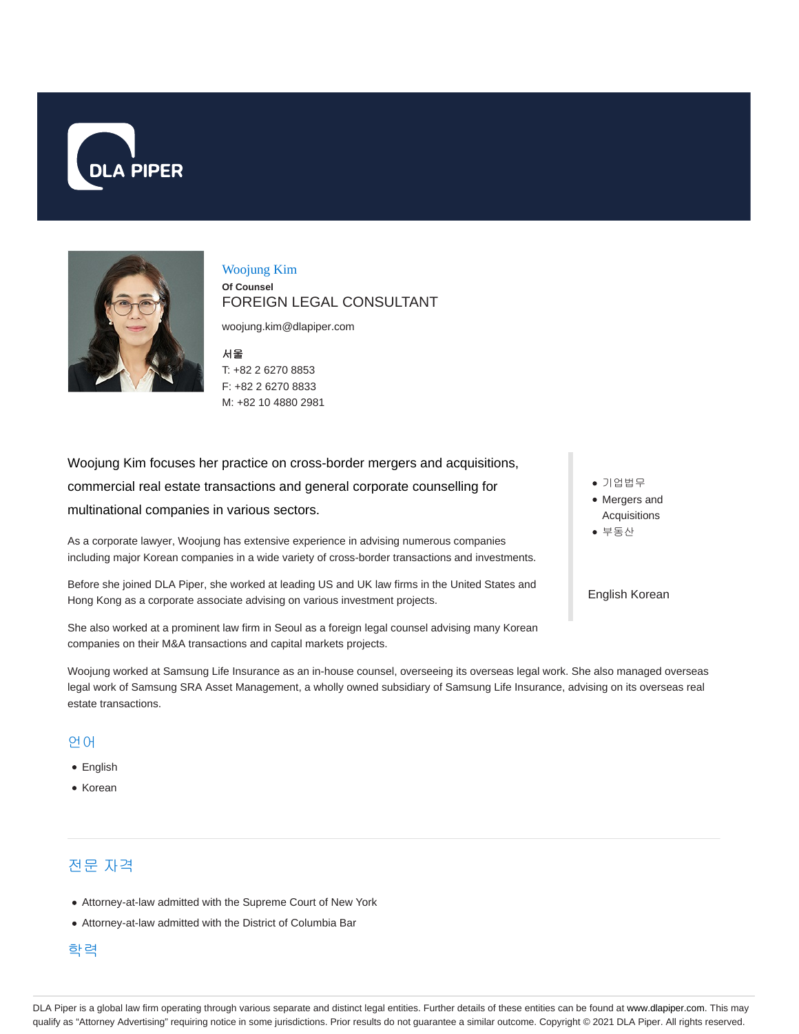



### Woojung Kim **Of Counsel**

FOREIGN LEGAL CONSULTANT

woojung.kim@dlapiper.com

#### 서울

T: +82 2 6270 8853 F: +82 2 6270 8833 M: +82 10 4880 2981

Woojung Kim focuses her practice on cross-border mergers and acquisitions, commercial real estate transactions and general corporate counselling for multinational companies in various sectors.

As a corporate lawyer, Woojung has extensive experience in advising numerous companies including major Korean companies in a wide variety of cross-border transactions and investments.

Before she joined DLA Piper, she worked at leading US and UK law firms in the United States and Hong Kong as a corporate associate advising on various investment projects.

She also worked at a prominent law firm in Seoul as a foreign legal counsel advising many Korean companies on their M&A transactions and capital markets projects.

기업법무

- Mergers and Acquisitions
- 부동산

#### English Korean

Woojung worked at Samsung Life Insurance as an in-house counsel, overseeing its overseas legal work. She also managed overseas legal work of Samsung SRA Asset Management, a wholly owned subsidiary of Samsung Life Insurance, advising on its overseas real estate transactions.

## 언어

- English
- Korean

# 전문 자격

- Attorney-at-law admitted with the Supreme Court of New York
- Attorney-at-law admitted with the District of Columbia Bar

## 학력

DLA Piper is a global law firm operating through various separate and distinct legal entities. Further details of these entities can be found at www.dlapiper.com. This may qualify as "Attorney Advertising" requiring notice in some jurisdictions. Prior results do not guarantee a similar outcome. Copyright © 2021 DLA Piper. All rights reserved.